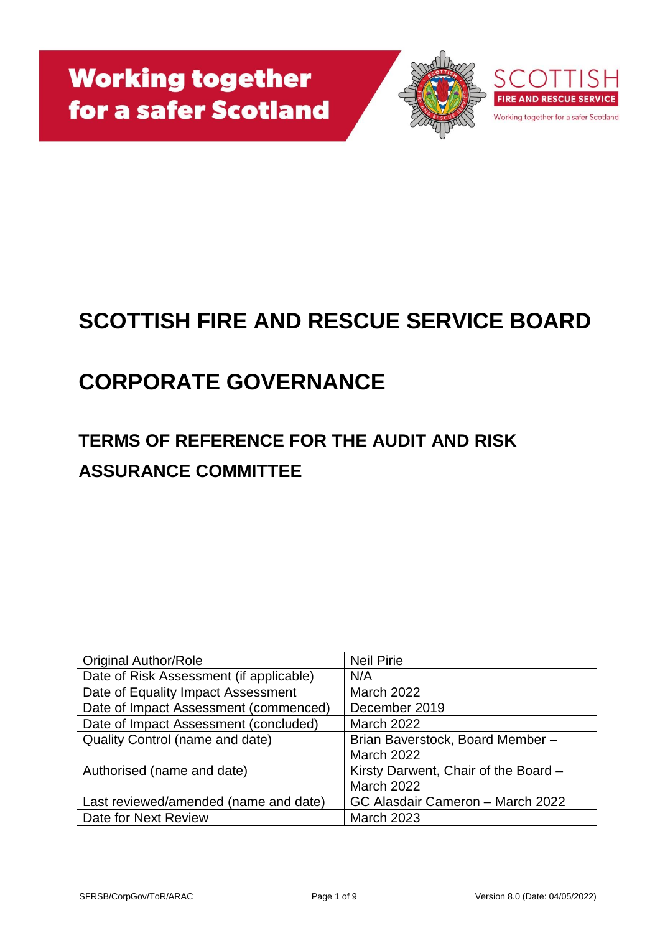

# **SCOTTISH FIRE AND RESCUE SERVICE BOARD**

# **CORPORATE GOVERNANCE**

# **TERMS OF REFERENCE FOR THE AUDIT AND RISK ASSURANCE COMMITTEE**

| <b>Original Author/Role</b>             | <b>Neil Pirie</b>                    |
|-----------------------------------------|--------------------------------------|
| Date of Risk Assessment (if applicable) | N/A                                  |
| Date of Equality Impact Assessment      | <b>March 2022</b>                    |
| Date of Impact Assessment (commenced)   | December 2019                        |
| Date of Impact Assessment (concluded)   | <b>March 2022</b>                    |
| <b>Quality Control (name and date)</b>  | Brian Baverstock, Board Member-      |
|                                         | <b>March 2022</b>                    |
| Authorised (name and date)              | Kirsty Darwent, Chair of the Board - |
|                                         | <b>March 2022</b>                    |
| Last reviewed/amended (name and date)   | GC Alasdair Cameron - March 2022     |
| Date for Next Review                    | <b>March 2023</b>                    |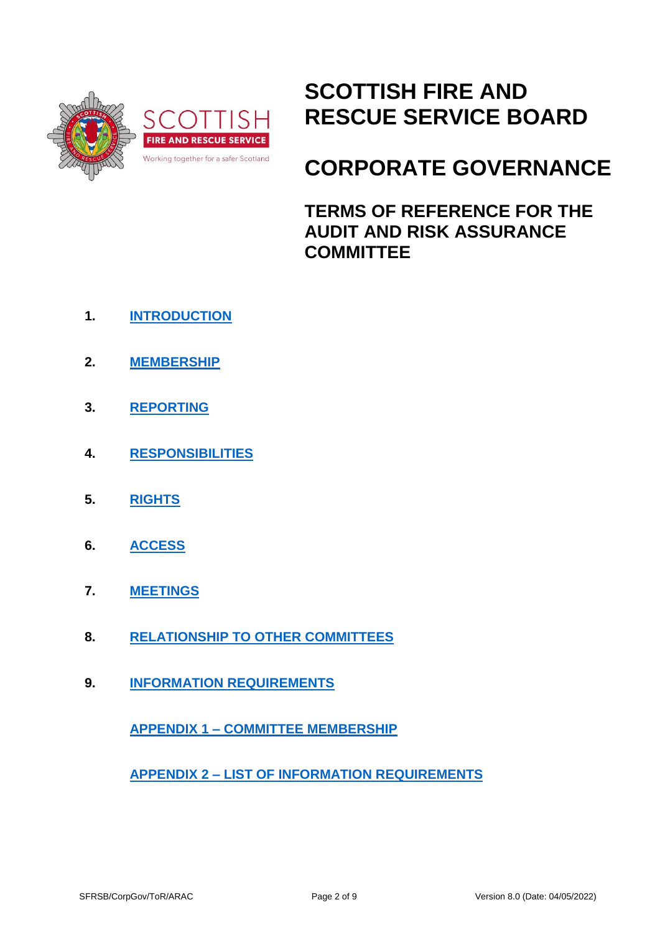

# **SCOTTISH FIRE AND RESCUE SERVICE BOARD**

# **CORPORATE GOVERNANCE**

**TERMS OF REFERENCE FOR THE AUDIT AND RISK ASSURANCE COMMITTEE**

- **1. [INTRODUCTION](#page-2-0)**
- **2. [MEMBERSHIP](#page-2-1)**
- **3. [REPORTING](#page-3-0)**
- **4. [RESPONSIBILITIES](#page-3-1)**
- **5. [RIGHTS](#page-4-0)**
- **6. [ACCESS](#page-5-0)**
- **7. [MEETINGS](#page-5-1)**
- **8. [RELATIONSHIP TO OTHER COMMITTEES](#page-6-0)**
- **9. [INFORMATION REQUIREMENTS](#page-6-1)**

**APPENDIX 1 – [COMMITTEE MEMBERSHIP](#page-7-0)**

**APPENDIX 2 – [LIST OF INFORMATION REQUIREMENTS](#page-8-0)**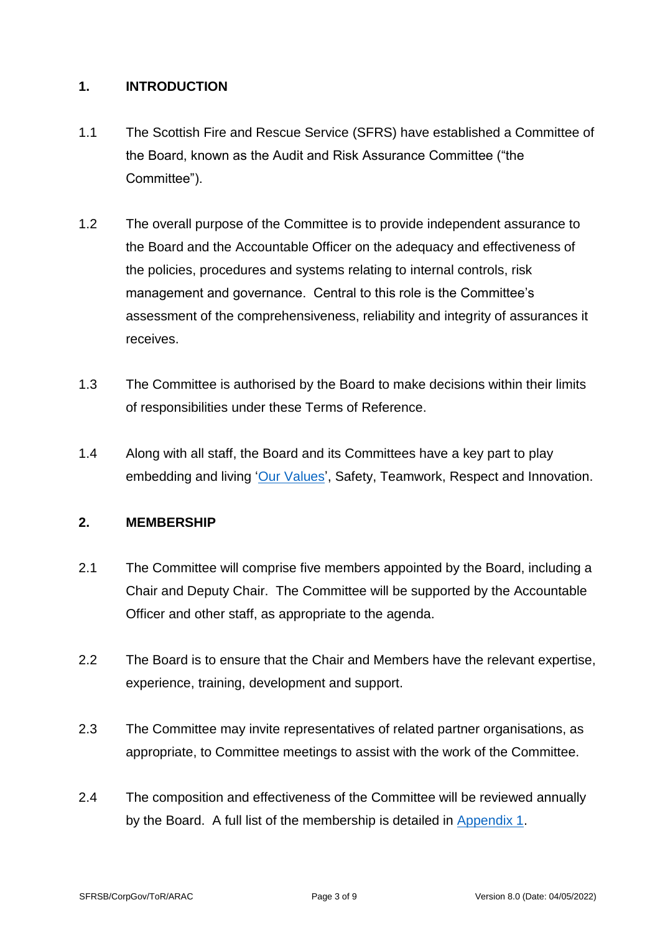#### <span id="page-2-0"></span>**1. INTRODUCTION**

- 1.1 The Scottish Fire and Rescue Service (SFRS) have established a Committee of the Board, known as the Audit and Risk Assurance Committee ("the Committee").
- 1.2 The overall purpose of the Committee is to provide independent assurance to the Board and the Accountable Officer on the adequacy and effectiveness of the policies, procedures and systems relating to internal controls, risk management and governance. Central to this role is the Committee's assessment of the comprehensiveness, reliability and integrity of assurances it receives.
- 1.3 The Committee is authorised by the Board to make decisions within their limits of responsibilities under these Terms of Reference.
- 1.4 Along with all staff, the Board and its Committees have a key part to play embedding and living ['Our Values'](https://www.firescotland.gov.uk/media/1136497/sfrs-values-framework.pdf), Safety, Teamwork, Respect and Innovation.

# <span id="page-2-1"></span>**2. MEMBERSHIP**

- 2.1 The Committee will comprise five members appointed by the Board, including a Chair and Deputy Chair. The Committee will be supported by the Accountable Officer and other staff, as appropriate to the agenda.
- 2.2 The Board is to ensure that the Chair and Members have the relevant expertise, experience, training, development and support.
- 2.3 The Committee may invite representatives of related partner organisations, as appropriate, to Committee meetings to assist with the work of the Committee.
- 2.4 The composition and effectiveness of the Committee will be reviewed annually by the Board. A full list of the membership is detailed in [Appendix 1.](#page-7-0)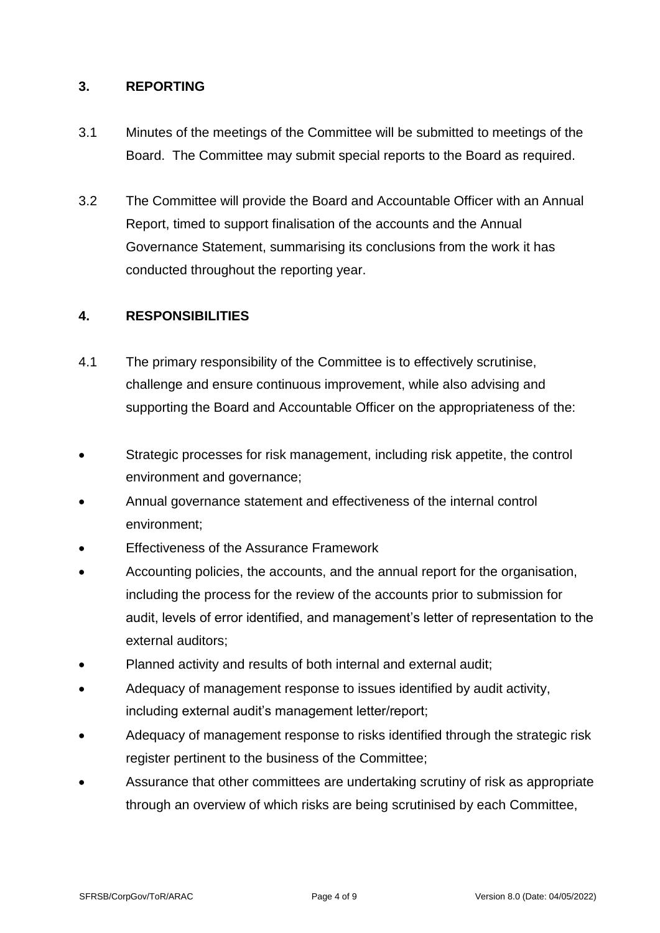#### <span id="page-3-0"></span>**3. REPORTING**

- 3.1 Minutes of the meetings of the Committee will be submitted to meetings of the Board. The Committee may submit special reports to the Board as required.
- 3.2 The Committee will provide the Board and Accountable Officer with an Annual Report, timed to support finalisation of the accounts and the Annual Governance Statement, summarising its conclusions from the work it has conducted throughout the reporting year.

# <span id="page-3-1"></span>**4. RESPONSIBILITIES**

- <span id="page-3-2"></span>4.1 The primary responsibility of the Committee is to effectively scrutinise, challenge and ensure continuous improvement, while also advising and supporting the Board and Accountable Officer on the appropriateness of the:
- Strategic processes for risk management, including risk appetite, the control environment and governance;
- Annual governance statement and effectiveness of the internal control environment;
- Effectiveness of the Assurance Framework
- Accounting policies, the accounts, and the annual report for the organisation, including the process for the review of the accounts prior to submission for audit, levels of error identified, and management's letter of representation to the external auditors;
- Planned activity and results of both internal and external audit;
- Adequacy of management response to issues identified by audit activity, including external audit's management letter/report;
- Adequacy of management response to risks identified through the strategic risk register pertinent to the business of the Committee;
- Assurance that other committees are undertaking scrutiny of risk as appropriate through an overview of which risks are being scrutinised by each Committee,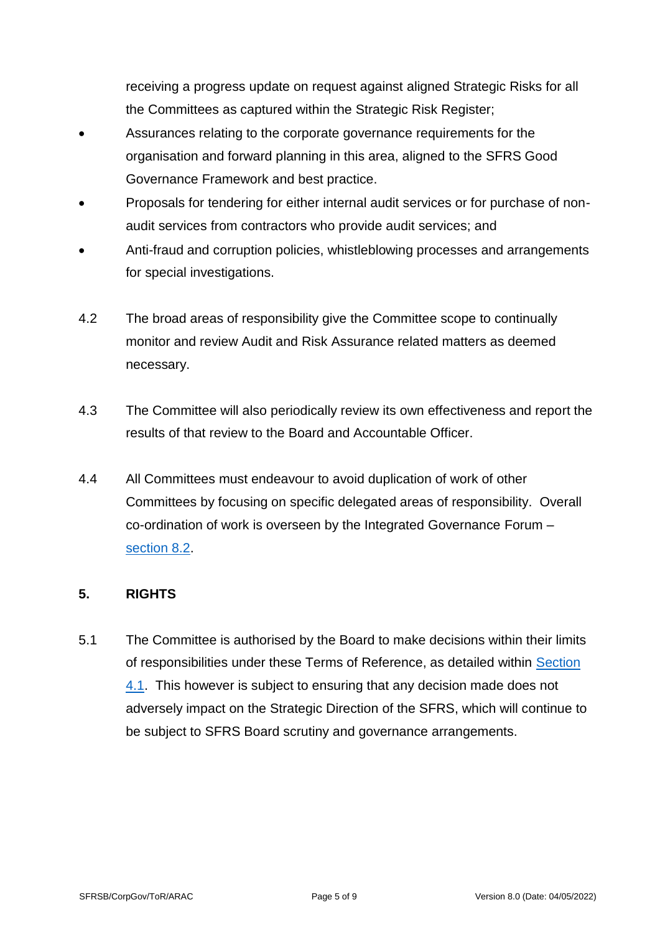receiving a progress update on request against aligned Strategic Risks for all the Committees as captured within the Strategic Risk Register;

- Assurances relating to the corporate governance requirements for the organisation and forward planning in this area, aligned to the SFRS Good Governance Framework and best practice.
- Proposals for tendering for either internal audit services or for purchase of nonaudit services from contractors who provide audit services; and
- Anti-fraud and corruption policies, whistleblowing processes and arrangements for special investigations.
- 4.2 The broad areas of responsibility give the Committee scope to continually monitor and review Audit and Risk Assurance related matters as deemed necessary.
- 4.3 The Committee will also periodically review its own effectiveness and report the results of that review to the Board and Accountable Officer.
- 4.4 All Committees must endeavour to avoid duplication of work of other Committees by focusing on specific delegated areas of responsibility. Overall co-ordination of work is overseen by the Integrated Governance Forum – [section 8.2.](#page-6-2)

# <span id="page-4-0"></span>**5. RIGHTS**

5.1 The Committee is authorised by the Board to make decisions within their limits of responsibilities under these Terms of Reference, as detailed within [Section](#page-3-2)  [4.1.](#page-3-2) This however is subject to ensuring that any decision made does not adversely impact on the Strategic Direction of the SFRS, which will continue to be subject to SFRS Board scrutiny and governance arrangements.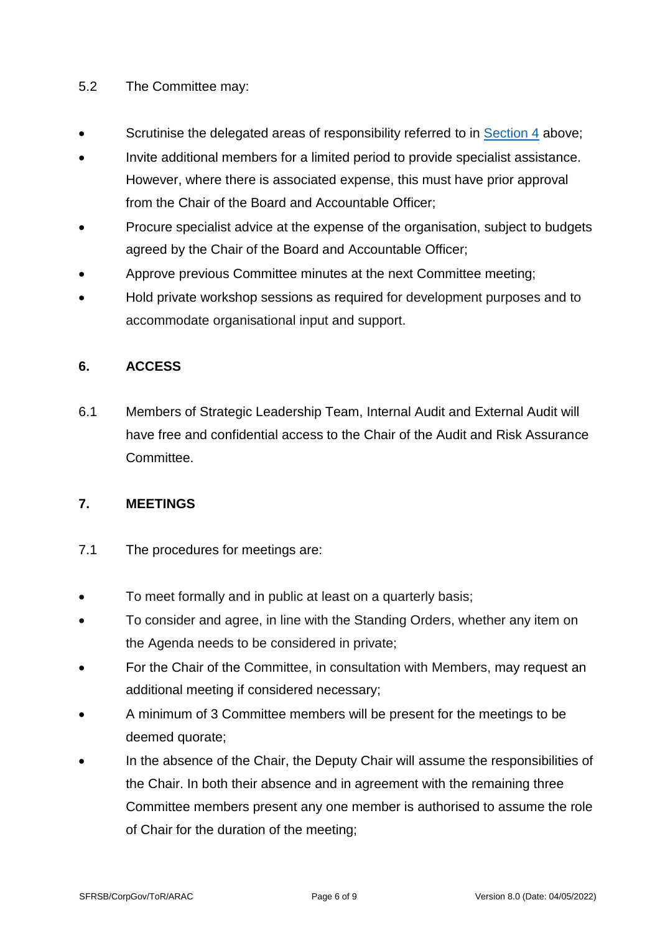#### 5.2 The Committee may:

- Scrutinise the delegated areas of responsibility referred to in [Section 4](#page-3-1) above;
- Invite additional members for a limited period to provide specialist assistance. However, where there is associated expense, this must have prior approval from the Chair of the Board and Accountable Officer;
- Procure specialist advice at the expense of the organisation, subject to budgets agreed by the Chair of the Board and Accountable Officer;
- Approve previous Committee minutes at the next Committee meeting;
- Hold private workshop sessions as required for development purposes and to accommodate organisational input and support.

# <span id="page-5-0"></span>**6. ACCESS**

6.1 Members of Strategic Leadership Team, Internal Audit and External Audit will have free and confidential access to the Chair of the Audit and Risk Assurance **Committee.** 

# <span id="page-5-1"></span>**7. MEETINGS**

- 7.1 The procedures for meetings are:
- To meet formally and in public at least on a quarterly basis;
- To consider and agree, in line with the Standing Orders, whether any item on the Agenda needs to be considered in private;
- For the Chair of the Committee, in consultation with Members, may request an additional meeting if considered necessary;
- A minimum of 3 Committee members will be present for the meetings to be deemed quorate;
- In the absence of the Chair, the Deputy Chair will assume the responsibilities of the Chair. In both their absence and in agreement with the remaining three Committee members present any one member is authorised to assume the role of Chair for the duration of the meeting;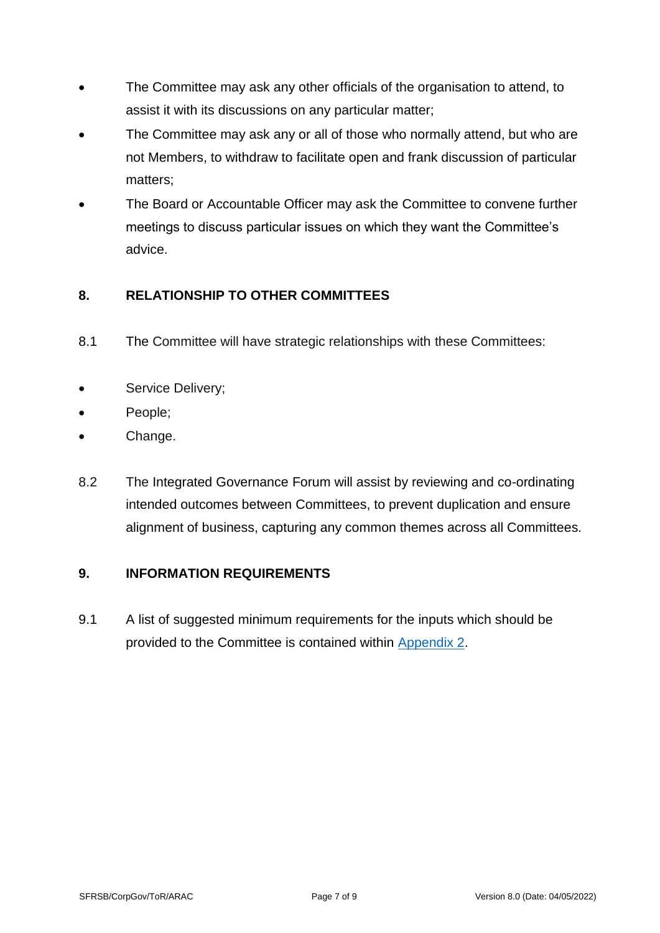- The Committee may ask any other officials of the organisation to attend, to assist it with its discussions on any particular matter;
- The Committee may ask any or all of those who normally attend, but who are not Members, to withdraw to facilitate open and frank discussion of particular matters;
- The Board or Accountable Officer may ask the Committee to convene further meetings to discuss particular issues on which they want the Committee's advice.

# <span id="page-6-0"></span>**8. RELATIONSHIP TO OTHER COMMITTEES**

- 8.1 The Committee will have strategic relationships with these Committees:
- Service Delivery;
- People;
- Change.
- <span id="page-6-2"></span>8.2 The Integrated Governance Forum will assist by reviewing and co-ordinating intended outcomes between Committees, to prevent duplication and ensure alignment of business, capturing any common themes across all Committees.

# <span id="page-6-1"></span>**9. INFORMATION REQUIREMENTS**

9.1 A list of suggested minimum requirements for the inputs which should be provided to the Committee is contained within [Appendix 2.](#page-8-0)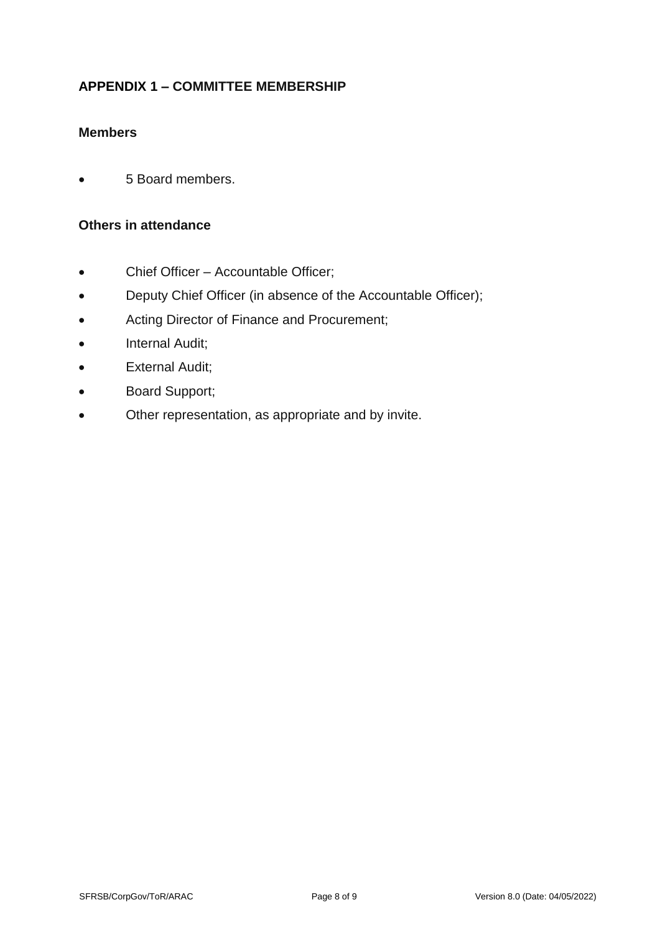# <span id="page-7-0"></span>**APPENDIX 1 – COMMITTEE MEMBERSHIP**

# **Members**

• 5 Board members.

#### **Others in attendance**

- Chief Officer Accountable Officer;
- Deputy Chief Officer (in absence of the Accountable Officer);
- Acting Director of Finance and Procurement;
- Internal Audit;
- External Audit;
- Board Support;
- Other representation, as appropriate and by invite.